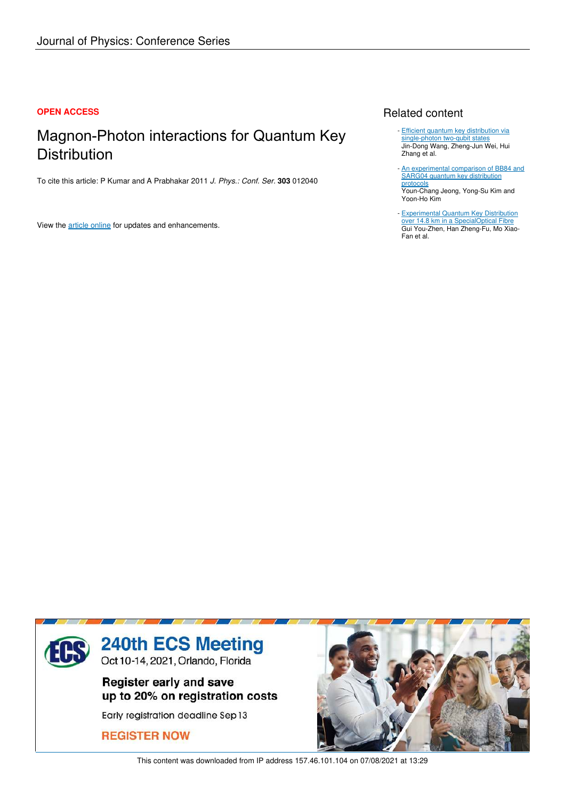### **OPEN ACCESS**

## Magnon-Photon interactions for Quantum Key **Distribution**

To cite this article: P Kumar and A Prabhakar 2011 *J. Phys.: Conf. Ser.* **303** 012040

View the article online for updates and enhancements.

## Related content

- Efficient quantum key distribution via single-photon two-qubit states Jin-Dong Wang, Zheng-Jun Wei, Hui Zhang et al.
- An experimental comparison of BB84 and SARG04 quantum key distribution protocols Youn-Chang Jeong, Yong-Su Kim and Yoon-Ho Kim -
- **Experimental Quantum Key Distribution** over 14.8 km in a SpecialOptical Fibre Gui You-Zhen, Han Zheng-Fu, Mo Xiao-Fan et al.



This content was downloaded from IP address 157.46.101.104 on 07/08/2021 at 13:29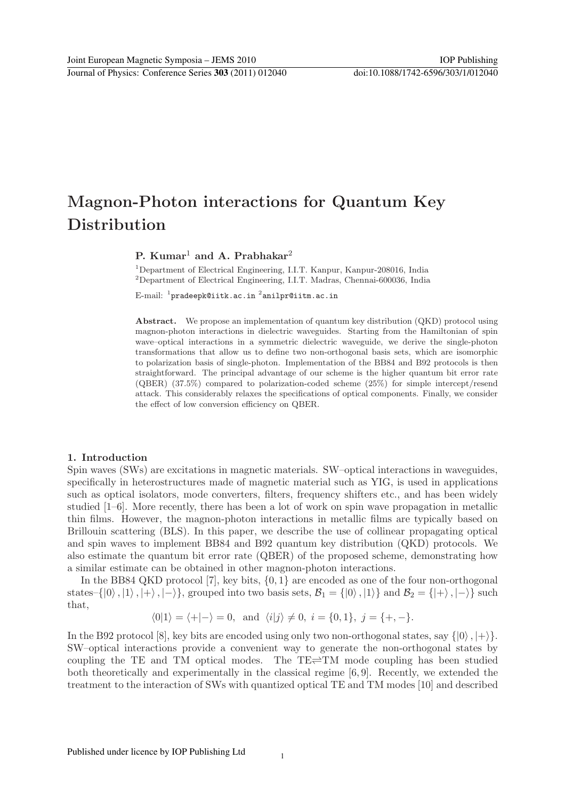# Magnon-Photon interactions for Quantum Key **Distribution**

## P. Kumar<sup>1</sup> and A. Prabhakar<sup>2</sup>

<sup>1</sup>Department of Electrical Engineering, I.I.T. Kanpur, Kanpur-208016, India <sup>2</sup>Department of Electrical Engineering, I.I.T. Madras, Chennai-600036, India

 $\mathrm{E}\text{-}\mathrm{mail:}\;$   $^1\mathrm{pradeepk@iitk.ac.in}\;$   $^2\mathrm{anilpr@iitm.ac.in}$ 

Abstract. We propose an implementation of quantum key distribution (QKD) protocol using magnon-photon interactions in dielectric waveguides. Starting from the Hamiltonian of spin wave–optical interactions in a symmetric dielectric waveguide, we derive the single-photon transformations that allow us to define two non-orthogonal basis sets, which are isomorphic to polarization basis of single-photon. Implementation of the BB84 and B92 protocols is then straightforward. The principal advantage of our scheme is the higher quantum bit error rate (QBER) (37.5%) compared to polarization-coded scheme (25%) for simple intercept/resend attack. This considerably relaxes the specifications of optical components. Finally, we consider the effect of low conversion efficiency on QBER.

#### 1. Introduction

Spin waves (SWs) are excitations in magnetic materials. SW–optical interactions in waveguides, specifically in heterostructures made of magnetic material such as YIG, is used in applications such as optical isolators, mode converters, filters, frequency shifters etc., and has been widely studied [1–6]. More recently, there has been a lot of work on spin wave propagation in metallic thin films. However, the magnon-photon interactions in metallic films are typically based on Brillouin scattering (BLS). In this paper, we describe the use of collinear propagating optical and spin waves to implement BB84 and B92 quantum key distribution (QKD) protocols. We also estimate the quantum bit error rate (QBER) of the proposed scheme, demonstrating how a similar estimate can be obtained in other magnon-photon interactions.

In the BB84 QKD protocol [7], key bits, {0, 1} are encoded as one of the four non-orthogonal states–{ $|0\rangle, |1\rangle, |+\rangle, |-\rangle$ }, grouped into two basis sets,  $\mathcal{B}_1 = \{ |0\rangle, |1\rangle \}$  and  $\mathcal{B}_2 = \{ |+\rangle, |-\rangle \}$  such that,

$$
\langle 0|1 \rangle = \langle +|-\rangle = 0
$$
, and  $\langle i|j \rangle \neq 0$ ,  $i = \{0,1\}$ ,  $j = \{+, -\}$ .

In the B92 protocol [8], key bits are encoded using only two non-orthogonal states, say  $\{|0\rangle, |+\rangle\}$ . SW–optical interactions provide a convenient way to generate the non-orthogonal states by coupling the TE and TM optical modes. The  $TE\rightleftharpoons TM$  mode coupling has been studied both theoretically and experimentally in the classical regime [6, 9]. Recently, we extended the treatment to the interaction of SWs with quantized optical TE and TM modes [10] and described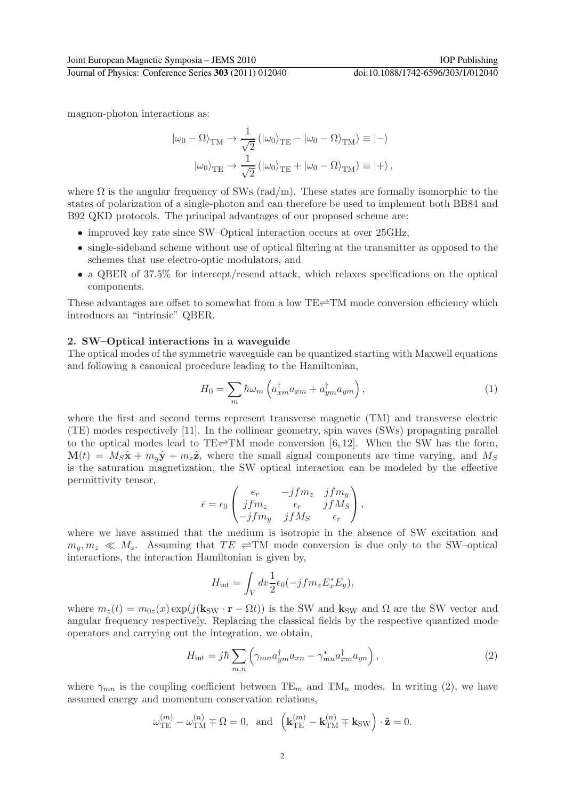magnon-photon interactions as:

$$
\begin{aligned} |\omega_0 - \Omega\rangle_{\text{TM}} &\to \frac{1}{\sqrt{2}} \left( |\omega_0\rangle_{\text{TE}} - |\omega_0 - \Omega\rangle_{\text{TM}} \right) \equiv |-\rangle \\ |\omega_0\rangle_{\text{TE}} &\to \frac{1}{\sqrt{2}} \left( |\omega_0\rangle_{\text{TE}} + |\omega_0 - \Omega\rangle_{\text{TM}} \right) \equiv |+\rangle \,, \end{aligned}
$$

where  $\Omega$  is the angular frequency of SWs (rad/m). These states are formally isomorphic to the states of polarization of a single-photon and can therefore be used to implement both BB84 and B92 QKD protocols. The principal advantages of our proposed scheme are:

- improved key rate since SW–Optical interaction occurs at over 25GHz,
- single-sideband scheme without use of optical filtering at the transmitter as opposed to the schemes that use electro-optic modulators, and
- a QBER of 37.5% for intercept/resend attack, which relaxes specifications on the optical components.

These advantages are offset to somewhat from a low  $TE\rightleftharpoons TM$  mode conversion efficiency which introduces an "intrinsic" QBER.

#### 2. SW–Optical interactions in a waveguide

The optical modes of the symmetric waveguide can be quantized starting with Maxwell equations and following a canonical procedure leading to the Hamiltonian,

$$
H_0 = \sum_m \hbar \omega_m \left( a_{xm}^\dagger a_{xm} + a_{ym}^\dagger a_{ym} \right),\tag{1}
$$

where the first and second terms represent transverse magnetic (TM) and transverse electric (TE) modes respectively [11]. In the collinear geometry, spin waves (SWs) propagating parallel to the optical modes lead to TE $\rightleftharpoons$ TM mode conversion [6, 12]. When the SW has the form,  $\mathbf{M}(t) = M_S\hat{\mathbf{x}} + m_y\hat{\mathbf{y}} + m_z\hat{\mathbf{z}}$ , where the small signal components are time varying, and  $M_S$ is the saturation magnetization, the SW–optical interaction can be modeled by the effective permittivity tensor,

$$
\bar{\epsilon} = \epsilon_0 \begin{pmatrix} \epsilon_r & -jfm_z & jfm_y \\ jfm_z & \epsilon_r & jfM_S \\ -jfm_y & jfM_S & \epsilon_r \end{pmatrix},
$$

where we have assumed that the medium is isotropic in the absence of SW excitation and  $m_y, m_z \ll M_s$ . Assuming that  $TE \rightleftharpoons TM$  mode conversion is due only to the SW–optical interactions, the interaction Hamiltonian is given by,

$$
H_{\rm int} = \int_V dv \frac{1}{2} \epsilon_0 (-j f m_z E_x^* E_y),
$$

where  $m_z(t) = m_{0z}(x) \exp(j(\mathbf{k}_{SW} \cdot \mathbf{r} - \Omega t))$  is the SW and  $\mathbf{k}_{SW}$  and  $\Omega$  are the SW vector and angular frequency respectively. Replacing the classical fields by the respective quantized mode operators and carrying out the integration, we obtain,

$$
H_{\rm int} = j\hbar \sum_{m,n} \left( \gamma_{mn} a_{ym}^{\dagger} a_{xn} - \gamma_{mn}^* a_{xm}^{\dagger} a_{yn} \right), \qquad (2)
$$

where  $\gamma_{mn}$  is the coupling coefficient between TE<sub>m</sub> and TM<sub>n</sub> modes. In writing (2), we have assumed energy and momentum conservation relations,

$$
\omega_{\rm TE}^{(m)} - \omega_{\rm TM}^{(n)} \mp \Omega = 0, \text{ and } \left(\mathbf{k}_{\rm TE}^{(m)} - \mathbf{k}_{\rm TM}^{(n)} \mp \mathbf{k}_{\rm SW}\right) \cdot \hat{\mathbf{z}} = 0.
$$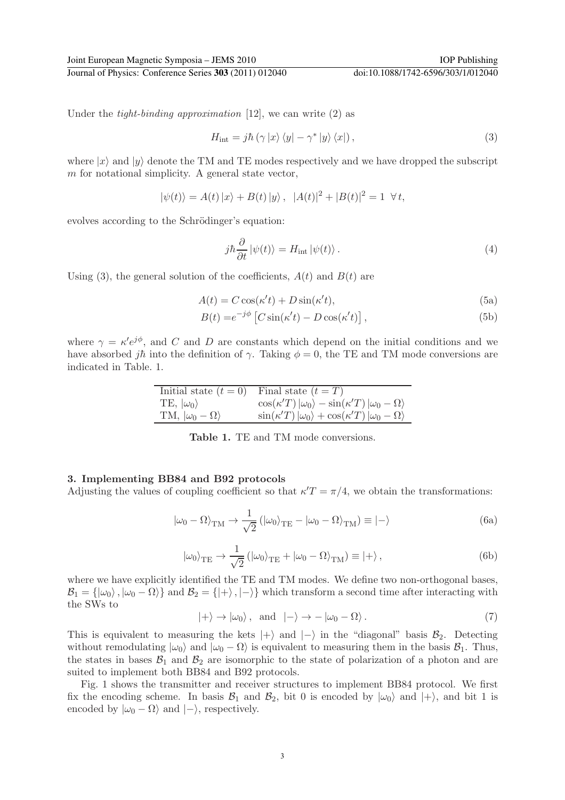Journal of Physics: Conference Series **303** (2011) 012040 doi:10.1088/1742-6596/303/1/012040

Under the *tight-binding approximation* [12], we can write  $(2)$  as

$$
H_{\rm int} = j\hbar \left( \gamma \left| x \right\rangle \left\langle y \right| - \gamma^* \left| y \right\rangle \left\langle x \right| \right),\tag{3}
$$

where  $|x\rangle$  and  $|y\rangle$  denote the TM and TE modes respectively and we have dropped the subscript m for notational simplicity. A general state vector,

$$
|\psi(t)\rangle = A(t) |x\rangle + B(t) |y\rangle, |A(t)|^2 + |B(t)|^2 = 1 \ \forall t,
$$

evolves according to the Schrödinger's equation:

$$
j\hbar \frac{\partial}{\partial t} |\psi(t)\rangle = H_{\text{int}} |\psi(t)\rangle. \tag{4}
$$

Using (3), the general solution of the coefficients,  $A(t)$  and  $B(t)$  are

$$
A(t) = C\cos(\kappa' t) + D\sin(\kappa' t),\tag{5a}
$$

$$
B(t) = e^{-j\phi} \left[ C \sin(\kappa' t) - D \cos(\kappa' t) \right],\tag{5b}
$$

where  $\gamma = \kappa' e^{j\phi}$ , and C and D are constants which depend on the initial conditions and we have absorbed j $\hbar$  into the definition of  $\gamma$ . Taking  $\phi = 0$ , the TE and TM mode conversions are indicated in Table. 1.

| Initial state $(t = 0)$         | Final state $(t = T)$                                                          |
|---------------------------------|--------------------------------------------------------------------------------|
| TE, $ \omega_0\rangle$          | $\cos(\kappa' T)  \omega_0\rangle - \sin(\kappa' T)  \omega_0 - \Omega\rangle$ |
| TM, $ \omega_0 - \Omega\rangle$ | $\sin(\kappa' T)  \omega_0\rangle + \cos(\kappa' T)  \omega_0 - \Omega\rangle$ |

Table 1. TE and TM mode conversions.

#### 3. Implementing BB84 and B92 protocols

Adjusting the values of coupling coefficient so that  $\kappa' T = \pi/4$ , we obtain the transformations:

$$
|\omega_0 - \Omega\rangle_{\rm TM} \rightarrow \frac{1}{\sqrt{2}} (|\omega_0\rangle_{\rm TE} - |\omega_0 - \Omega\rangle_{\rm TM}) \equiv |-\rangle
$$
 (6a)

$$
|\omega_0\rangle_{\text{TE}} \to \frac{1}{\sqrt{2}} (|\omega_0\rangle_{\text{TE}} + |\omega_0 - \Omega\rangle_{\text{TM}}) \equiv |+\rangle ,
$$
 (6b)

where we have explicitly identified the TE and TM modes. We define two non-orthogonal bases,  $\mathcal{B}_1 = {\vert \omega_0 \rangle}, \vert \omega_0 - \Omega \rangle$  and  $\mathcal{B}_2 = {\vert \rangle}, \vert - \rangle$  which transform a second time after interacting with the SWs to

$$
|+\rangle \to |\omega_0\rangle, \text{ and } |-\rangle \to -|\omega_0 - \Omega\rangle. \tag{7}
$$

This is equivalent to measuring the kets  $|+\rangle$  and  $|-\rangle$  in the "diagonal" basis  $\mathcal{B}_2$ . Detecting without remodulating  $|\omega_0\rangle$  and  $|\omega_0 - \Omega\rangle$  is equivalent to measuring them in the basis  $\mathcal{B}_1$ . Thus, the states in bases  $\mathcal{B}_1$  and  $\mathcal{B}_2$  are isomorphic to the state of polarization of a photon and are suited to implement both BB84 and B92 protocols.

Fig. 1 shows the transmitter and receiver structures to implement BB84 protocol. We first fix the encoding scheme. In basis  $\mathcal{B}_1$  and  $\mathcal{B}_2$ , bit 0 is encoded by  $|\omega_0\rangle$  and  $|+\rangle$ , and bit 1 is encoded by  $|\omega_0 - \Omega\rangle$  and  $|-\rangle$ , respectively.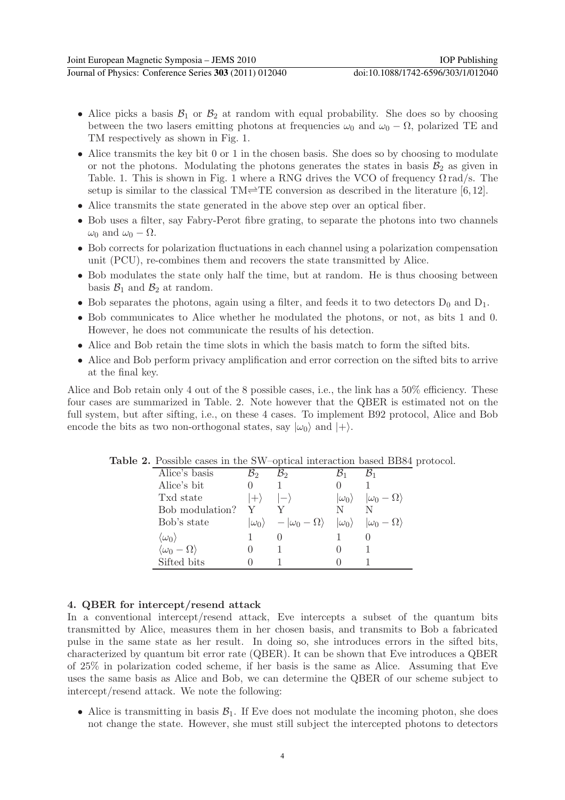- Journal of Physics: Conference Series **303** (2011) 012040 doi:10.1088/1742-6596/303/1/012040
	- Alice picks a basis  $\mathcal{B}_1$  or  $\mathcal{B}_2$  at random with equal probability. She does so by choosing between the two lasers emitting photons at frequencies  $\omega_0$  and  $\omega_0 - \Omega$ , polarized TE and TM respectively as shown in Fig. 1.
	- Alice transmits the key bit 0 or 1 in the chosen basis. She does so by choosing to modulate or not the photons. Modulating the photons generates the states in basis  $\mathcal{B}_2$  as given in Table. 1. This is shown in Fig. 1 where a RNG drives the VCO of frequency  $\Omega \text{ rad/s}$ . The setup is similar to the classical TM $\rightleftharpoons$ TE conversion as described in the literature [6, 12].
	- Alice transmits the state generated in the above step over an optical fiber.
	- Bob uses a filter, say Fabry-Perot fibre grating, to separate the photons into two channels  $\omega_0$  and  $\omega_0 - \Omega$ .
	- Bob corrects for polarization fluctuations in each channel using a polarization compensation unit (PCU), re-combines them and recovers the state transmitted by Alice.
	- Bob modulates the state only half the time, but at random. He is thus choosing between basis  $\mathcal{B}_1$  and  $\mathcal{B}_2$  at random.
	- Bob separates the photons, again using a filter, and feeds it to two detectors  $D_0$  and  $D_1$ .
	- Bob communicates to Alice whether he modulated the photons, or not, as bits 1 and 0. However, he does not communicate the results of his detection.
	- Alice and Bob retain the time slots in which the basis match to form the sifted bits.
	- Alice and Bob perform privacy amplification and error correction on the sifted bits to arrive at the final key.

Alice and Bob retain only 4 out of the 8 possible cases, i.e., the link has a 50% efficiency. These four cases are summarized in Table. 2. Note however that the QBER is estimated not on the full system, but after sifting, i.e., on these 4 cases. To implement B92 protocol, Alice and Bob encode the bits as two non-orthogonal states, say  $|\omega_0\rangle$  and  $|+\rangle$ .

| $ \omega_0 - \Omega\rangle$                                                                    |
|------------------------------------------------------------------------------------------------|
|                                                                                                |
| $ \omega_0\rangle$ $- \omega_0 - \Omega\rangle$ $ \omega_0\rangle$ $ \omega_0 - \Omega\rangle$ |
|                                                                                                |
|                                                                                                |
|                                                                                                |
|                                                                                                |

Table 2. Possible cases in the SW–optical interaction based BB84 protocol.

#### 4. QBER for intercept/resend attack

In a conventional intercept/resend attack, Eve intercepts a subset of the quantum bits transmitted by Alice, measures them in her chosen basis, and transmits to Bob a fabricated pulse in the same state as her result. In doing so, she introduces errors in the sifted bits, characterized by quantum bit error rate (QBER). It can be shown that Eve introduces a QBER of 25% in polarization coded scheme, if her basis is the same as Alice. Assuming that Eve uses the same basis as Alice and Bob, we can determine the QBER of our scheme subject to intercept/resend attack. We note the following:

• Alice is transmitting in basis  $\mathcal{B}_1$ . If Eve does not modulate the incoming photon, she does not change the state. However, she must still subject the intercepted photons to detectors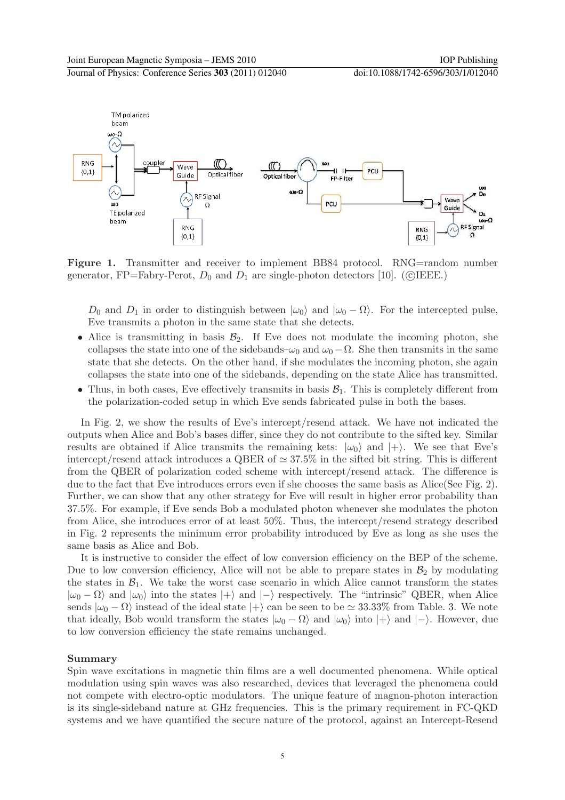Journal of Physics: Conference Series **303** (2011) 012040 doi:10.1088/1742-6596/303/1/012040



Figure 1. Transmitter and receiver to implement BB84 protocol. RNG=random number generator, FP=Fabry-Perot,  $D_0$  and  $D_1$  are single-photon detectors [10]. (CIEEE.)

 $D_0$  and  $D_1$  in order to distinguish between  $|\omega_0\rangle$  and  $|\omega_0 - \Omega\rangle$ . For the intercepted pulse, Eve transmits a photon in the same state that she detects.

- Alice is transmitting in basis  $\mathcal{B}_2$ . If Eve does not modulate the incoming photon, she collapses the state into one of the sidebands– $\omega_0$  and  $\omega_0 - \Omega$ . She then transmits in the same state that she detects. On the other hand, if she modulates the incoming photon, she again collapses the state into one of the sidebands, depending on the state Alice has transmitted.
- Thus, in both cases, Eve effectively transmits in basis  $B_1$ . This is completely different from the polarization-coded setup in which Eve sends fabricated pulse in both the bases.

In Fig. 2, we show the results of Eve's intercept/resend attack. We have not indicated the outputs when Alice and Bob's bases differ, since they do not contribute to the sifted key. Similar results are obtained if Alice transmits the remaining kets:  $|\omega_0\rangle$  and  $|+\rangle$ . We see that Eve's intercept/resend attack introduces a QBER of  $\simeq 37.5\%$  in the sifted bit string. This is different from the QBER of polarization coded scheme with intercept/resend attack. The difference is due to the fact that Eve introduces errors even if she chooses the same basis as Alice(See Fig. 2). Further, we can show that any other strategy for Eve will result in higher error probability than 37.5%. For example, if Eve sends Bob a modulated photon whenever she modulates the photon from Alice, she introduces error of at least 50%. Thus, the intercept/resend strategy described in Fig. 2 represents the minimum error probability introduced by Eve as long as she uses the same basis as Alice and Bob.

It is instructive to consider the effect of low conversion efficiency on the BEP of the scheme. Due to low conversion efficiency, Alice will not be able to prepare states in  $\mathcal{B}_2$  by modulating the states in  $\mathcal{B}_1$ . We take the worst case scenario in which Alice cannot transform the states  $|\omega_0 - \Omega\rangle$  and  $|\omega_0\rangle$  into the states  $|+\rangle$  and  $|-\rangle$  respectively. The "intrinsic" QBER, when Alice sends  $|\omega_0 - \Omega\rangle$  instead of the ideal state  $|+\rangle$  can be seen to be  $\simeq 33.33\%$  from Table. 3. We note that ideally, Bob would transform the states  $|\omega_0 - \Omega\rangle$  and  $|\omega_0\rangle$  into  $|+\rangle$  and  $|-\rangle$ . However, due to low conversion efficiency the state remains unchanged.

#### Summary

Spin wave excitations in magnetic thin films are a well documented phenomena. While optical modulation using spin waves was also researched, devices that leveraged the phenomena could not compete with electro-optic modulators. The unique feature of magnon-photon interaction is its single-sideband nature at GHz frequencies. This is the primary requirement in FC-QKD systems and we have quantified the secure nature of the protocol, against an Intercept-Resend